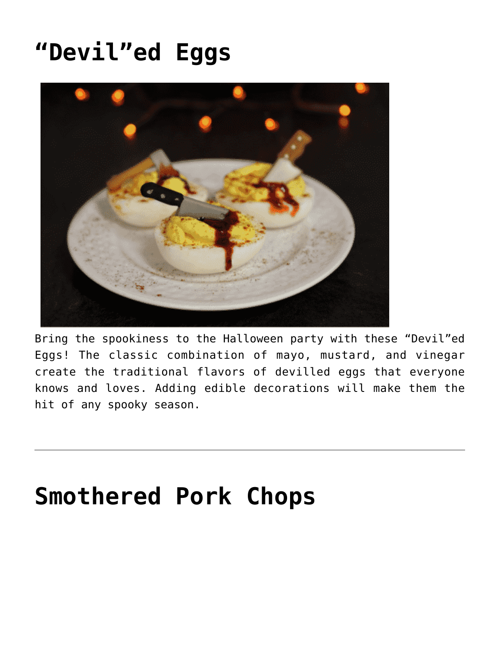## **["Devil"ed Eggs](https://www.nesco.com/recipe/deviled-eggs/)**



Bring the spookiness to the Halloween party with these "Devil"ed Eggs! The classic combination of mayo, mustard, and vinegar create the traditional flavors of devilled eggs that everyone knows and loves. Adding edible decorations will make them the hit of any spooky season.

### **[Smothered Pork Chops](https://www.nesco.com/recipe/smothered-pork-chops/)**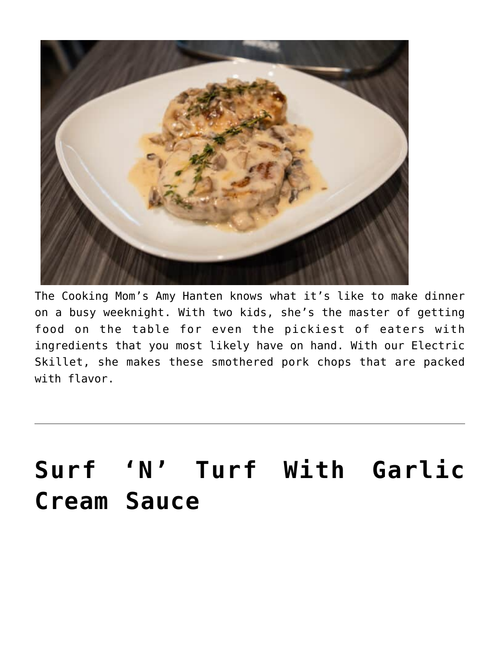

The Cooking Mom's Amy Hanten knows what it's like to make dinner on a busy weeknight. With two kids, she's the master of getting food on the table for even the pickiest of eaters with ingredients that you most likely have on hand. With our Electric Skillet, she makes these smothered pork chops that are packed with flavor.

# **[Surf 'N' Turf With Garlic](https://www.nesco.com/recipe/surf-n-turf-garlic-cream-sauce/) [Cream Sauce](https://www.nesco.com/recipe/surf-n-turf-garlic-cream-sauce/)**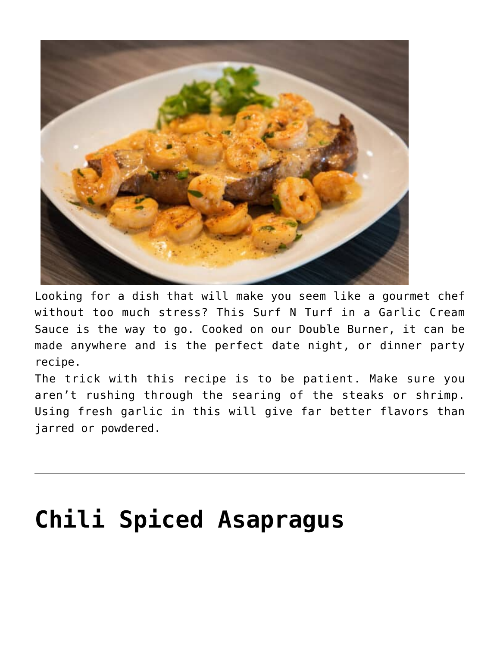

Looking for a dish that will make you seem like a gourmet chef without too much stress? This Surf N Turf in a Garlic Cream Sauce is the way to go. Cooked on our Double Burner, it can be made anywhere and is the perfect date night, or dinner party recipe.

The trick with this recipe is to be patient. Make sure you aren't rushing through the searing of the steaks or shrimp. Using fresh garlic in this will give far better flavors than jarred or powdered.

# **[Chili Spiced Asapragus](https://www.nesco.com/recipe/chili-spiced-asapragus/)**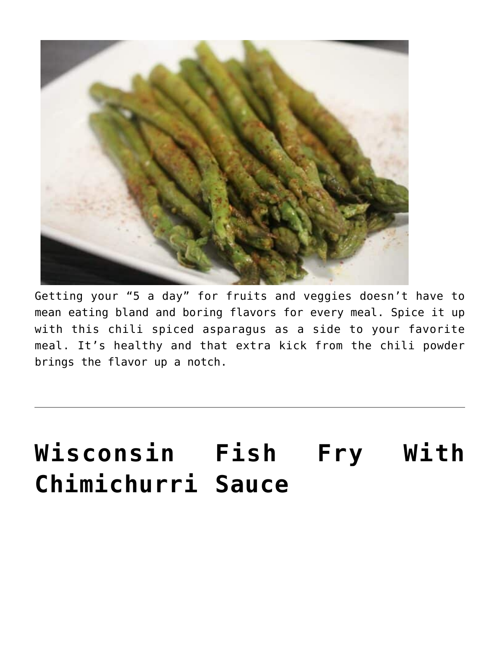

Getting your "5 a day" for fruits and veggies doesn't have to mean eating bland and boring flavors for every meal. Spice it up with this chili spiced asparagus as a side to your favorite meal. It's healthy and that extra kick from the chili powder brings the flavor up a notch.

# **[Wisconsin Fish Fry With](https://www.nesco.com/recipe/wisconsin-fish-fry-with-chimichurri-sauce/) [Chimichurri Sauce](https://www.nesco.com/recipe/wisconsin-fish-fry-with-chimichurri-sauce/)**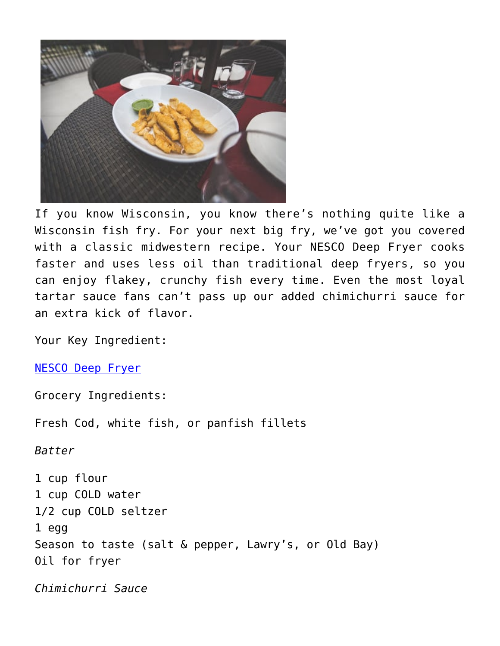

If you know Wisconsin, you know there's nothing quite like a Wisconsin fish fry. For your next big fry, we've got you covered with a classic midwestern recipe. Your NESCO Deep Fryer cooks faster and uses less oil than traditional deep fryers, so you can enjoy flakey, crunchy fish every time. Even the most loyal tartar sauce fans can't pass up our added chimichurri sauce for an extra kick of flavor.

Your Key Ingredient:

[NESCO Deep Fryer](https://www.nesco.com/product-category/small-appliances/deep-fryers/)

Grocery Ingredients:

Fresh Cod, white fish, or panfish fillets

*Batter*

1 cup flour 1 cup COLD water 1/2 cup COLD seltzer 1 egg Season to taste (salt & pepper, Lawry's, or Old Bay) Oil for fryer

*Chimichurri Sauce*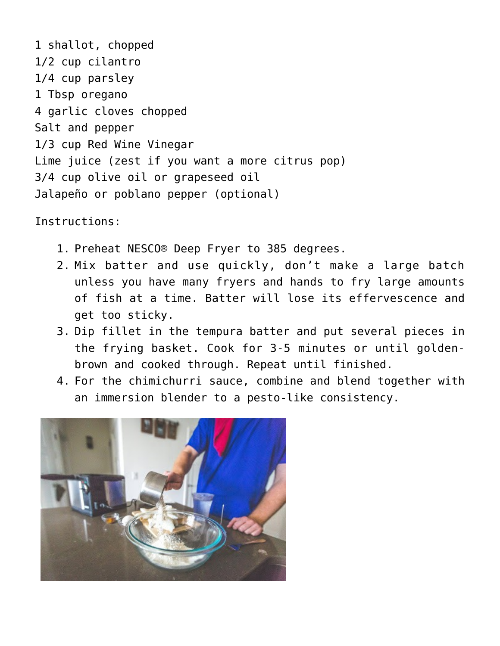1 shallot, chopped 1/2 cup cilantro 1/4 cup parsley 1 Tbsp oregano 4 garlic cloves chopped Salt and pepper 1/3 cup Red Wine Vinegar Lime juice (zest if you want a more citrus pop) 3/4 cup olive oil or grapeseed oil Jalapeño or poblano pepper (optional)

Instructions:

- 1. Preheat NESCO® Deep Fryer to 385 degrees.
- 2. Mix batter and use quickly, don't make a large batch unless you have many fryers and hands to fry large amounts of fish at a time. Batter will lose its effervescence and get too sticky.
- 3. Dip fillet in the tempura batter and put several pieces in the frying basket. Cook for 3-5 minutes or until goldenbrown and cooked through. Repeat until finished.
- 4. For the chimichurri sauce, combine and blend together with an immersion blender to a pesto-like consistency.

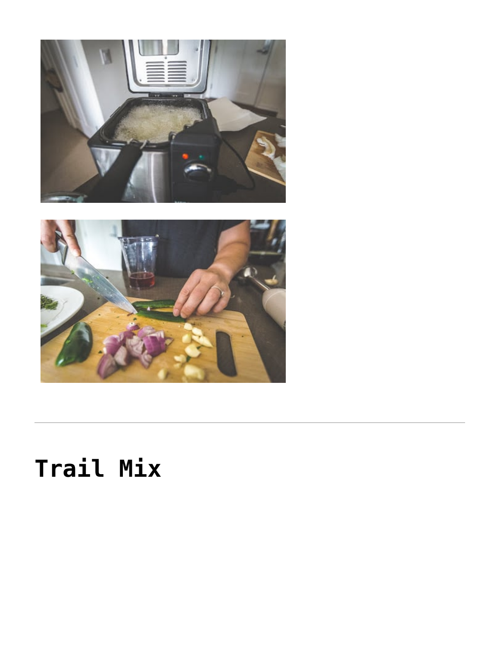



# **[Trail Mix](https://www.nesco.com/recipe/trail-mix/)**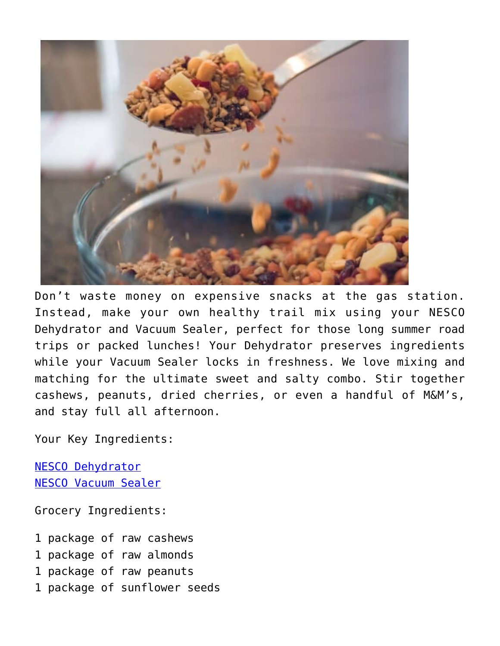

Don't waste money on expensive snacks at the gas station. Instead, make your own healthy trail mix using your NESCO Dehydrator and Vacuum Sealer, perfect for those long summer road trips or packed lunches! Your Dehydrator preserves ingredients while your Vacuum Sealer locks in freshness. We love mixing and matching for the ultimate sweet and salty combo. Stir together cashews, peanuts, dried cherries, or even a handful of M&M's, and stay full all afternoon.

Your Key Ingredients:

[NESCO Dehydrator](https://www.nesco.com/product-category/dehydrating/dehydrators/) [NESCO Vacuum Sealer](https://www.nesco.com/product-category/vacuum-sealers/sealers/)

Grocery Ingredients:

- 1 package of raw cashews
- 1 package of raw almonds
- 1 package of raw peanuts
- 1 package of sunflower seeds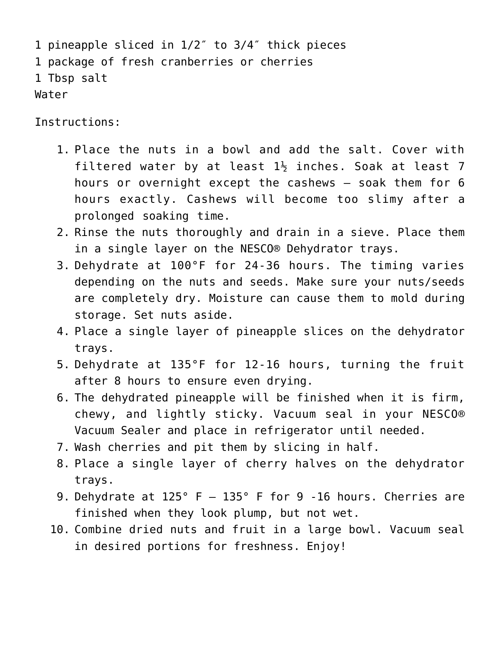1 pineapple sliced in 1/2″ to 3/4″ thick pieces 1 package of fresh cranberries or cherries 1 Tbsp salt Water

Instructions:

- 1. Place the nuts in a bowl and add the salt. Cover with filtered water by at least  $1\frac{1}{2}$  inches. Soak at least 7 hours or overnight except the cashews – soak them for 6 hours exactly. Cashews will become too slimy after a prolonged soaking time.
- 2. Rinse the nuts thoroughly and drain in a sieve. Place them in a single layer on the NESCO® Dehydrator trays.
- 3. Dehydrate at 100°F for 24-36 hours. The timing varies depending on the nuts and seeds. Make sure your nuts/seeds are completely dry. Moisture can cause them to mold during storage. Set nuts aside.
- 4. Place a single layer of pineapple slices on the dehydrator trays.
- 5. Dehydrate at 135°F for 12-16 hours, turning the fruit after 8 hours to ensure even drying.
- 6. The dehydrated pineapple will be finished when it is firm, chewy, and lightly sticky. Vacuum seal in your NESCO® Vacuum Sealer and place in refrigerator until needed.
- 7. Wash cherries and pit them by slicing in half.
- 8. Place a single layer of cherry halves on the dehydrator trays.
- 9. Dehydrate at 125° F 135° F for 9 -16 hours. Cherries are finished when they look plump, but not wet.
- 10. Combine dried nuts and fruit in a large bowl. Vacuum seal in desired portions for freshness. Enjoy!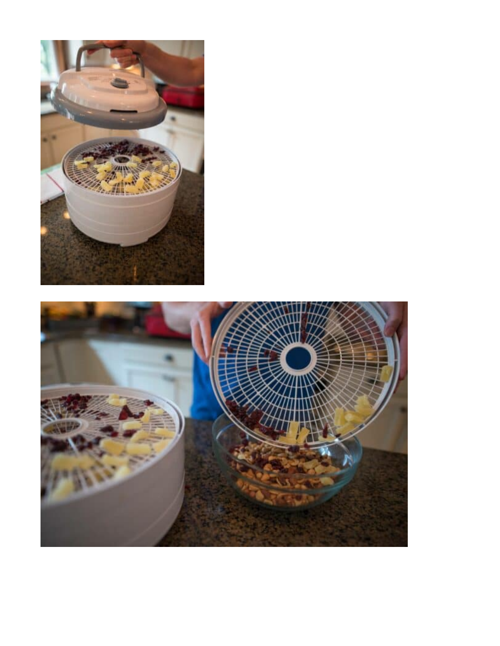

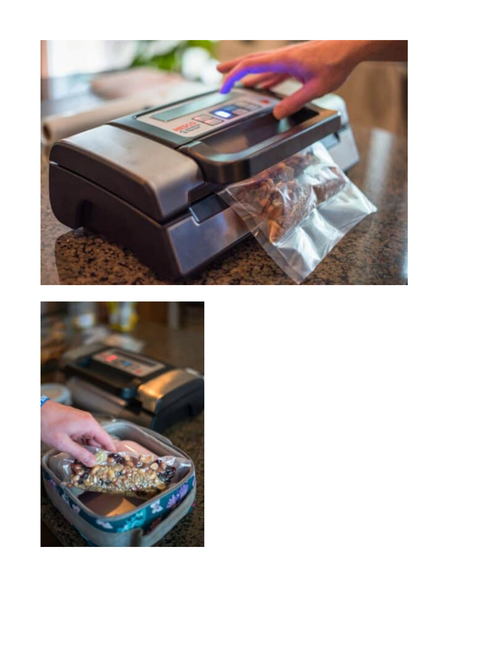

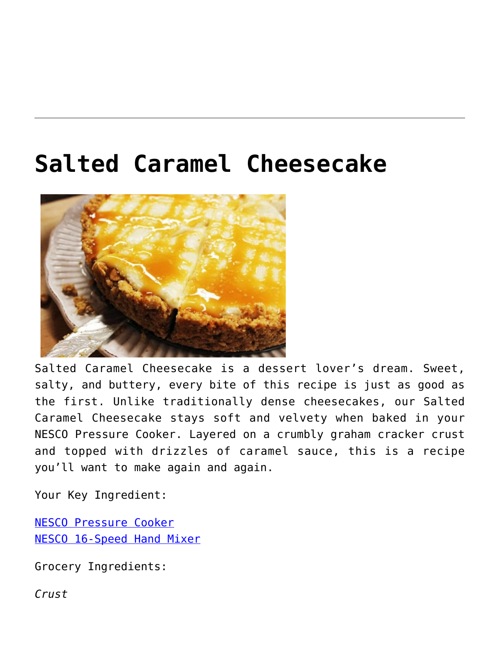#### **[Salted Caramel Cheesecake](https://www.nesco.com/recipe/salted-caramel-cheesecake/)**



Salted Caramel Cheesecake is a dessert lover's dream. Sweet, salty, and buttery, every bite of this recipe is just as good as the first. Unlike traditionally dense cheesecakes, our Salted Caramel Cheesecake stays soft and velvety when baked in your NESCO Pressure Cooker. Layered on a crumbly graham cracker crust and topped with drizzles of caramel sauce, this is a recipe you'll want to make again and again.

Your Key Ingredient:

[NESCO Pressure Cooker](https://www.nesco.com/product-category/cooking/pressure-cookers/) [NESCO 16-Speed Hand Mixer](https://www.nesco.com/product/16-speed-hand-mixer/)

Grocery Ingredients:

*Crust*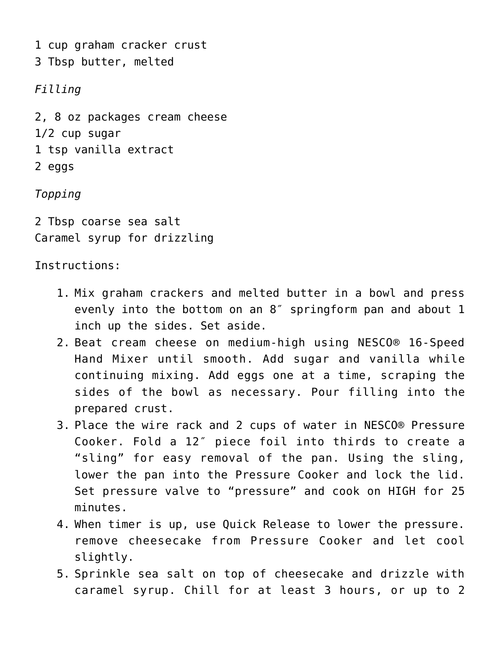1 cup graham cracker crust 3 Tbsp butter, melted

*Filling*

2, 8 oz packages cream cheese 1/2 cup sugar 1 tsp vanilla extract 2 eggs

*Topping*

2 Tbsp coarse sea salt Caramel syrup for drizzling

Instructions:

- 1. Mix graham crackers and melted butter in a bowl and press evenly into the bottom on an 8″ springform pan and about 1 inch up the sides. Set aside.
- 2. Beat cream cheese on medium-high using NESCO® 16-Speed Hand Mixer until smooth. Add sugar and vanilla while continuing mixing. Add eggs one at a time, scraping the sides of the bowl as necessary. Pour filling into the prepared crust.
- 3. Place the wire rack and 2 cups of water in NESCO® Pressure Cooker. Fold a 12″ piece foil into thirds to create a "sling" for easy removal of the pan. Using the sling, lower the pan into the Pressure Cooker and lock the lid. Set pressure valve to "pressure" and cook on HIGH for 25 minutes.
- 4. When timer is up, use Quick Release to lower the pressure. remove cheesecake from Pressure Cooker and let cool slightly.
- 5. Sprinkle sea salt on top of cheesecake and drizzle with caramel syrup. Chill for at least 3 hours, or up to 2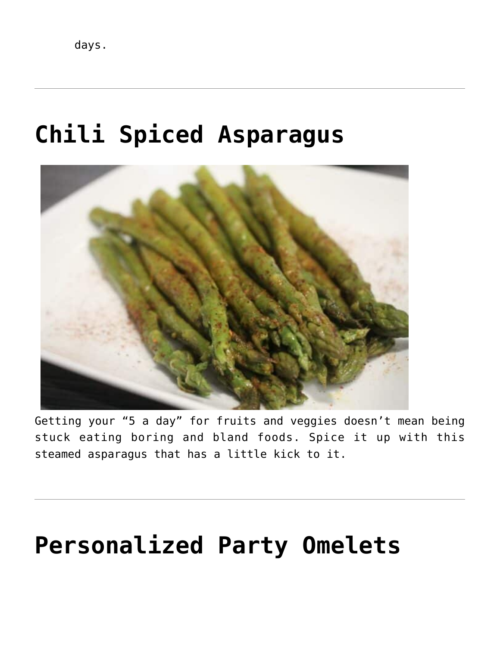#### **[Chili Spiced Asparagus](https://www.nesco.com/recipe/chili-spiced-asparagus/)**



Getting your "5 a day" for fruits and veggies doesn't mean being stuck eating boring and bland foods. Spice it up with this steamed asparagus that has a little kick to it.

## **[Personalized Party Omelets](https://www.nesco.com/recipe/personalized-party-omletes/)**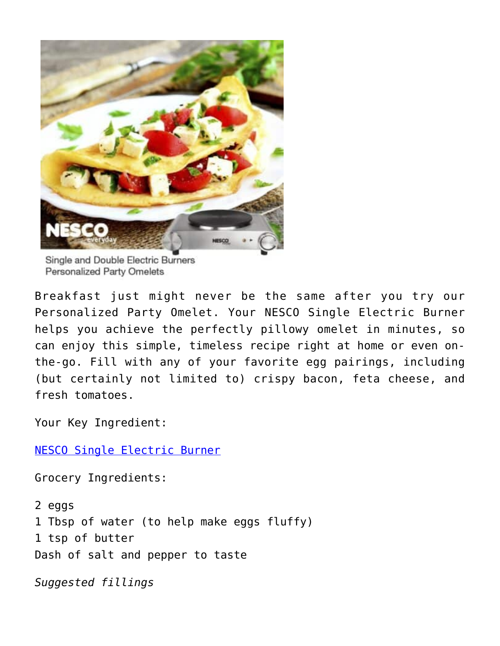

Single and Double Electric Burners Personalized Party Omelets

Breakfast just might never be the same after you try our Personalized Party Omelet. Your NESCO Single Electric Burner helps you achieve the perfectly pillowy omelet in minutes, so can enjoy this simple, timeless recipe right at home or even onthe-go. Fill with any of your favorite egg pairings, including (but certainly not limited to) crispy bacon, feta cheese, and fresh tomatoes.

Your Key Ingredient:

[NESCO Single Electric Burner](https://www.nesco.com/product/single-burner/)

Grocery Ingredients:

2 eggs 1 Tbsp of water (to help make eggs fluffy) 1 tsp of butter Dash of salt and pepper to taste

*Suggested fillings*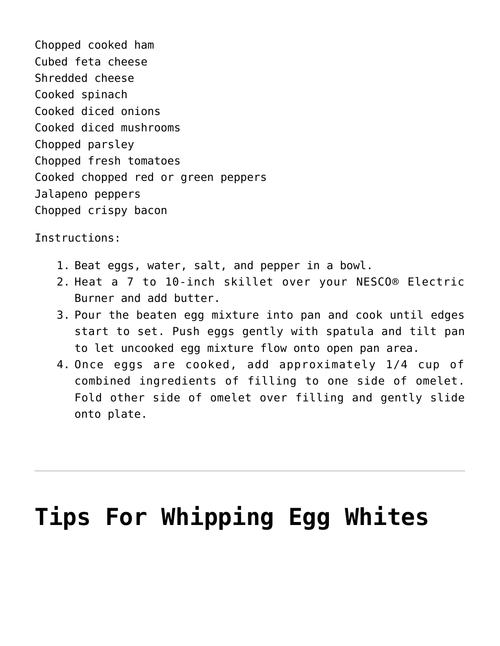Chopped cooked ham Cubed feta cheese Shredded cheese Cooked spinach Cooked diced onions Cooked diced mushrooms Chopped parsley Chopped fresh tomatoes Cooked chopped red or green peppers Jalapeno peppers Chopped crispy bacon

Instructions:

- 1. Beat eggs, water, salt, and pepper in a bowl.
- 2. Heat a 7 to 10-inch skillet over your NESCO® Electric Burner and add butter.
- 3. Pour the beaten egg mixture into pan and cook until edges start to set. Push eggs gently with spatula and tilt pan to let uncooked egg mixture flow onto open pan area.
- 4. Once eggs are cooked, add approximately 1/4 cup of combined ingredients of filling to one side of omelet. Fold other side of omelet over filling and gently slide onto plate.

## **[Tips For Whipping Egg Whites](https://www.nesco.com/recipe/tips-for-whipping-egg-whites/)**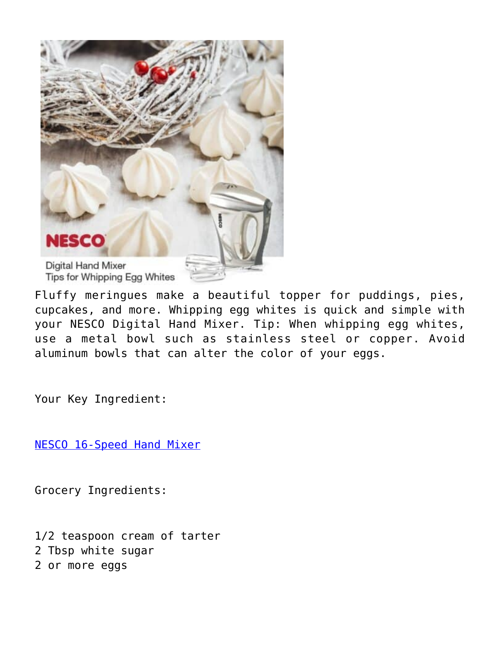

Fluffy meringues make a beautiful topper for puddings, pies, cupcakes, and more. Whipping egg whites is quick and simple with your NESCO Digital Hand Mixer. Tip: When whipping egg whites, use a metal bowl such as stainless steel or copper. Avoid aluminum bowls that can alter the color of your eggs.

Your Key Ingredient:

[NESCO 16-Speed Hand Mixer](https://www.nesco.com/product/16-speed-hand-mixer/)

Grocery Ingredients:

1/2 teaspoon cream of tarter 2 Tbsp white sugar 2 or more eggs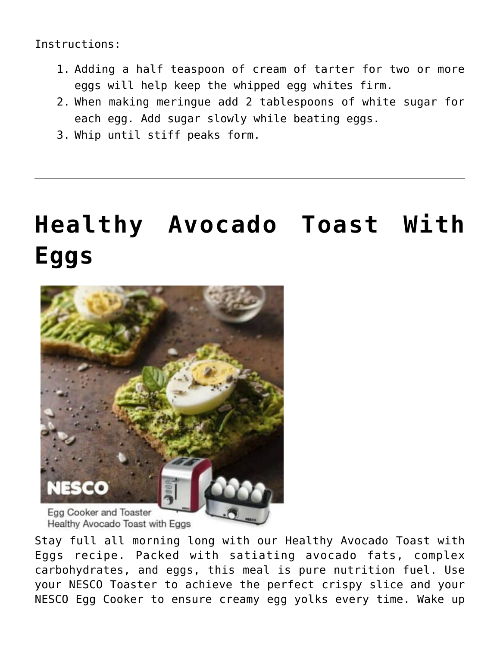Instructions:

- 1. Adding a half teaspoon of cream of tarter for two or more eggs will help keep the whipped egg whites firm.
- 2. When making meringue add 2 tablespoons of white sugar for each egg. Add sugar slowly while beating eggs.
- 3. Whip until stiff peaks form.

# **[Healthy Avocado Toast With](https://www.nesco.com/recipe/healthy-avocado-toast-with-eggs/) [Eggs](https://www.nesco.com/recipe/healthy-avocado-toast-with-eggs/)**



Stay full all morning long with our Healthy Avocado Toast with Eggs recipe. Packed with satiating avocado fats, complex carbohydrates, and eggs, this meal is pure nutrition fuel. Use your NESCO Toaster to achieve the perfect crispy slice and your NESCO Egg Cooker to ensure creamy egg yolks every time. Wake up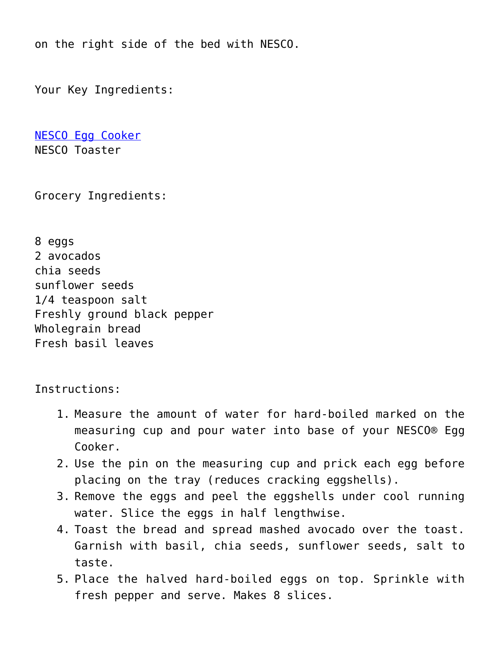on the right side of the bed with NESCO.

Your Key Ingredients:

[NESCO Egg Cooker](https://www.nesco.com/product/egg-cooker/) NESCO Toaster

Grocery Ingredients:

8 eggs 2 avocados chia seeds sunflower seeds 1/4 teaspoon salt Freshly ground black pepper Wholegrain bread Fresh basil leaves

Instructions:

- 1. Measure the amount of water for hard-boiled marked on the measuring cup and pour water into base of your NESCO® Egg Cooker.
- 2. Use the pin on the measuring cup and prick each egg before placing on the tray (reduces cracking eggshells).
- 3. Remove the eggs and peel the eggshells under cool running water. Slice the eggs in half lengthwise.
- 4. Toast the bread and spread mashed avocado over the toast. Garnish with basil, chia seeds, sunflower seeds, salt to taste.
- 5. Place the halved hard-boiled eggs on top. Sprinkle with fresh pepper and serve. Makes 8 slices.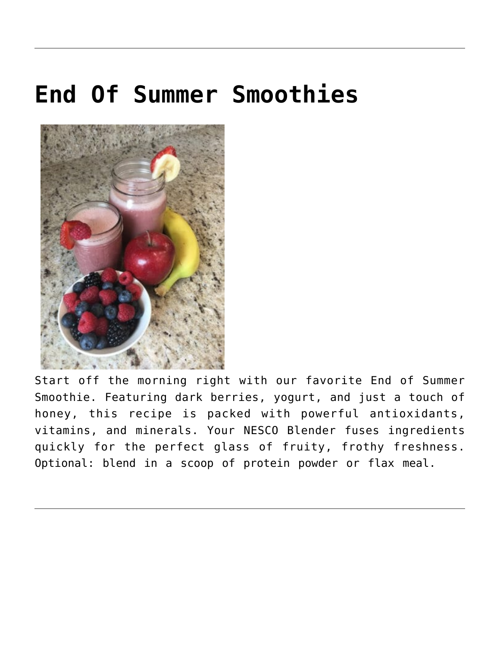#### **[End Of Summer Smoothies](https://www.nesco.com/recipe/end-of-summer-smoothies/)**



Start off the morning right with our favorite End of Summer Smoothie. Featuring dark berries, yogurt, and just a touch of honey, this recipe is packed with powerful antioxidants, vitamins, and minerals. Your NESCO Blender fuses ingredients quickly for the perfect glass of fruity, frothy freshness. Optional: blend in a scoop of protein powder or flax meal.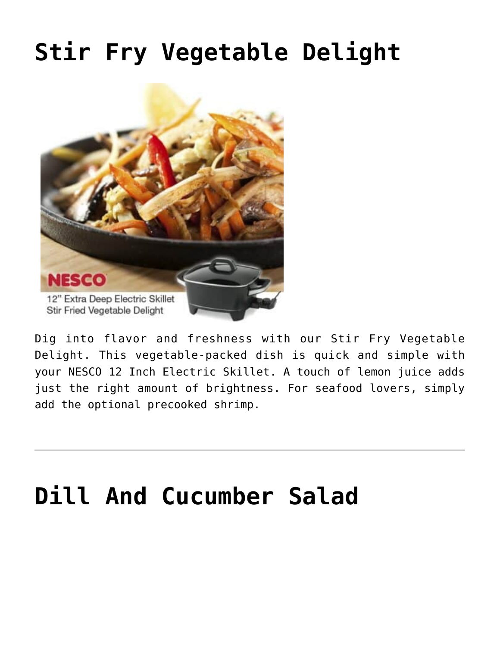# **[Stir Fry Vegetable Delight](https://www.nesco.com/recipe/stir-fry-vegetable-delight/)**



Dig into flavor and freshness with our Stir Fry Vegetable Delight. This vegetable-packed dish is quick and simple with your NESCO 12 Inch Electric Skillet. A touch of lemon juice adds just the right amount of brightness. For seafood lovers, simply add the optional precooked shrimp.

## **[Dill And Cucumber Salad](https://www.nesco.com/recipe/dill-and-cucumber-salad/)**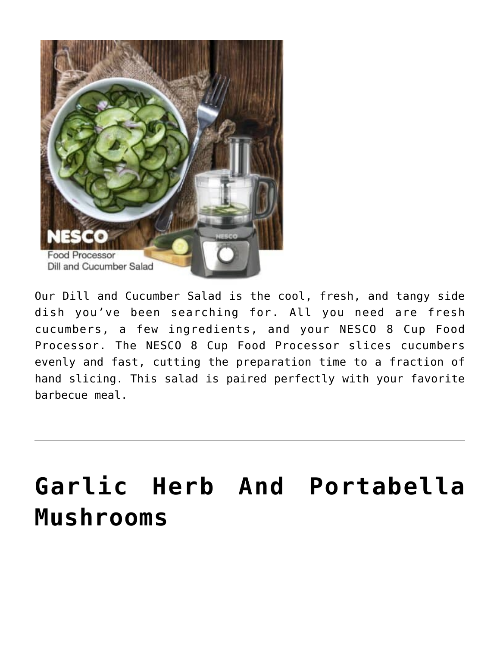

Our Dill and Cucumber Salad is the cool, fresh, and tangy side dish you've been searching for. All you need are fresh cucumbers, a few ingredients, and your NESCO 8 Cup Food Processor. The NESCO 8 Cup Food Processor slices cucumbers evenly and fast, cutting the preparation time to a fraction of hand slicing. This salad is paired perfectly with your favorite barbecue meal.

## **[Garlic Herb And Portabella](https://www.nesco.com/recipe/garlic-herb-and-portabella-mushrooms/) [Mushrooms](https://www.nesco.com/recipe/garlic-herb-and-portabella-mushrooms/)**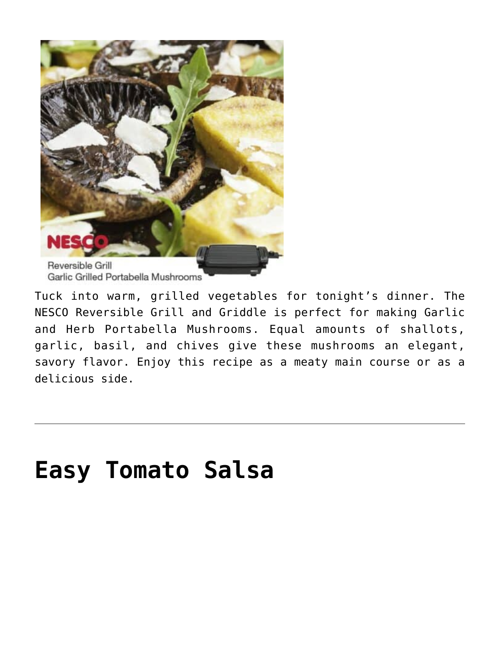

Garlic Grilled Portabella Mushrooms

Tuck into warm, grilled vegetables for tonight's dinner. The NESCO Reversible Grill and Griddle is perfect for making Garlic and Herb Portabella Mushrooms. Equal amounts of shallots, garlic, basil, and chives give these mushrooms an elegant, savory flavor. Enjoy this recipe as a meaty main course or as a delicious side.

### **[Easy Tomato Salsa](https://www.nesco.com/recipe/easy-tomato-salsa/)**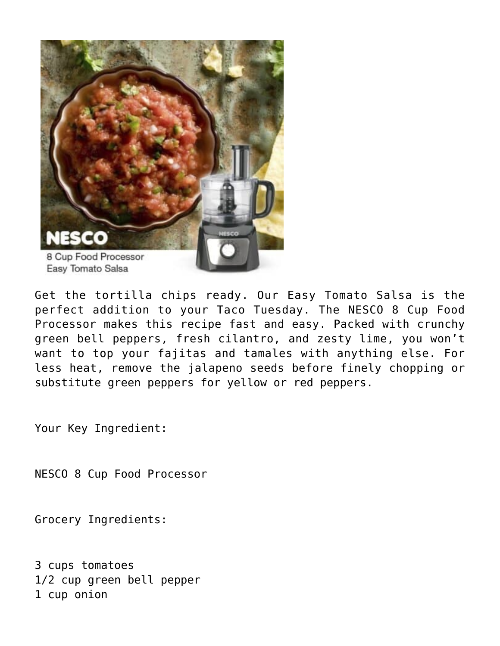

Get the tortilla chips ready. Our Easy Tomato Salsa is the perfect addition to your Taco Tuesday. The NESCO 8 Cup Food Processor makes this recipe fast and easy. Packed with crunchy green bell peppers, fresh cilantro, and zesty lime, you won't want to top your fajitas and tamales with anything else. For less heat, remove the jalapeno seeds before finely chopping or substitute green peppers for yellow or red peppers.

Your Key Ingredient:

NESCO 8 Cup Food Processor

Grocery Ingredients:

3 cups tomatoes 1/2 cup green bell pepper 1 cup onion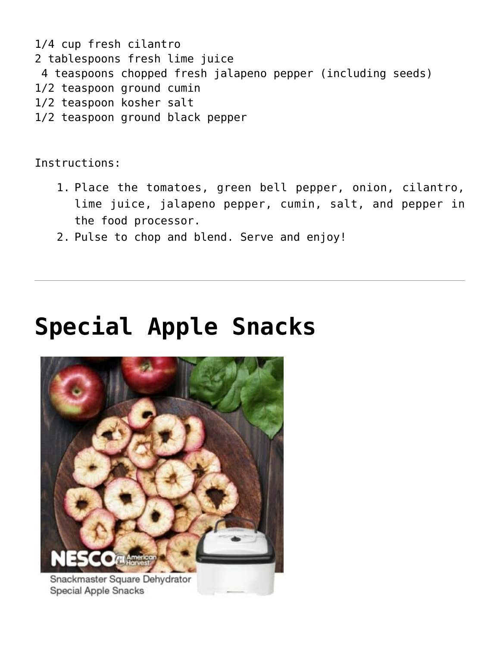1/4 cup fresh cilantro 2 tablespoons fresh lime juice 4 teaspoons chopped fresh jalapeno pepper (including seeds) 1/2 teaspoon ground cumin 1/2 teaspoon kosher salt 1/2 teaspoon ground black pepper

Instructions:

- 1. Place the tomatoes, green bell pepper, onion, cilantro, lime juice, jalapeno pepper, cumin, salt, and pepper in the food processor.
- 2. Pulse to chop and blend. Serve and enjoy!

#### **[Special Apple Snacks](https://www.nesco.com/recipe/special-apple-snacks/)**

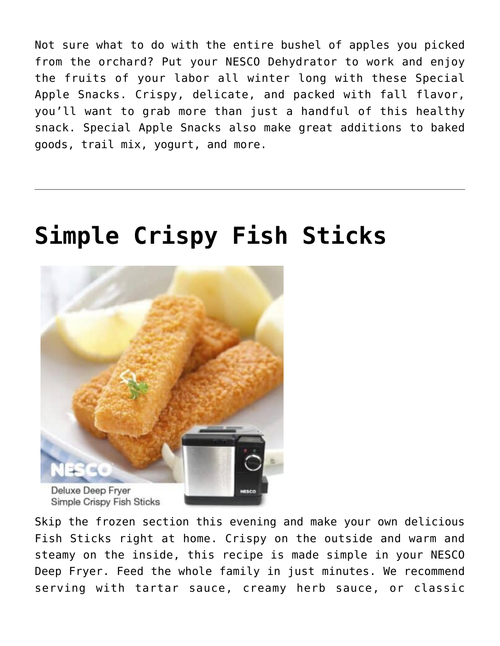Not sure what to do with the entire bushel of apples you picked from the orchard? Put your NESCO Dehydrator to work and enjoy the fruits of your labor all winter long with these Special Apple Snacks. Crispy, delicate, and packed with fall flavor, you'll want to grab more than just a handful of this healthy snack. Special Apple Snacks also make great additions to baked goods, trail mix, yogurt, and more.

#### **[Simple Crispy Fish Sticks](https://www.nesco.com/recipe/simple-crispy-fish-sticks/)**



Skip the frozen section this evening and make your own delicious Fish Sticks right at home. Crispy on the outside and warm and steamy on the inside, this recipe is made simple in your NESCO Deep Fryer. Feed the whole family in just minutes. We recommend serving with tartar sauce, creamy herb sauce, or classic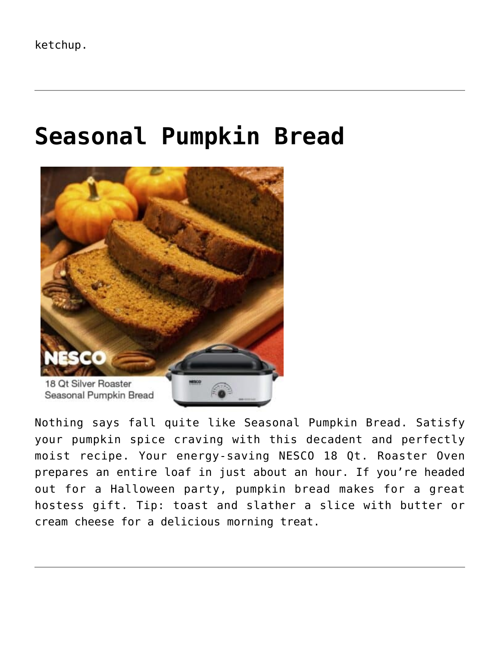#### **[Seasonal Pumpkin Bread](https://www.nesco.com/recipe/seasonal-pumpkin-bread/)**



Nothing says fall quite like Seasonal Pumpkin Bread. Satisfy your pumpkin spice craving with this decadent and perfectly moist recipe. Your energy-saving NESCO 18 Qt. Roaster Oven prepares an entire loaf in just about an hour. If you're headed out for a Halloween party, pumpkin bread makes for a great hostess gift. Tip: toast and slather a slice with butter or cream cheese for a delicious morning treat.